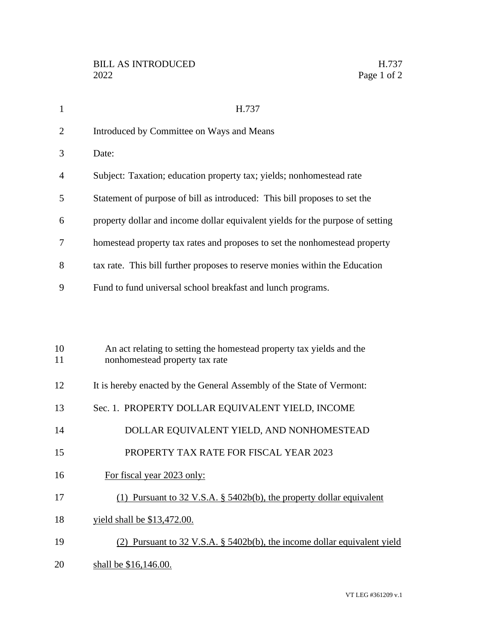| $\mathbf{1}$   | H.737                                                                                                  |
|----------------|--------------------------------------------------------------------------------------------------------|
| $\overline{2}$ | Introduced by Committee on Ways and Means                                                              |
| 3              | Date:                                                                                                  |
| 4              | Subject: Taxation; education property tax; yields; nonhomestead rate                                   |
| 5              | Statement of purpose of bill as introduced: This bill proposes to set the                              |
| 6              | property dollar and income dollar equivalent yields for the purpose of setting                         |
| 7              | homestead property tax rates and proposes to set the nonhomestead property                             |
| 8              | tax rate. This bill further proposes to reserve monies within the Education                            |
| 9              | Fund to fund universal school breakfast and lunch programs.                                            |
|                |                                                                                                        |
| 10<br>11       | An act relating to setting the homestead property tax yields and the<br>nonhomestead property tax rate |
| 12             | It is hereby enacted by the General Assembly of the State of Vermont:                                  |
| 13             | Sec. 1. PROPERTY DOLLAR EQUIVALENT YIELD, INCOME                                                       |
| 14             | DOLLAR EQUIVALENT YIELD, AND NONHOMESTEAD                                                              |
| 15             | PROPERTY TAX RATE FOR FISCAL YEAR 2023                                                                 |
| 16             | For fiscal year 2023 only:                                                                             |
| 17             | (1) Pursuant to $32 \text{ V.S.A. }$ § $5402b(b)$ , the property dollar equivalent                     |
| 18             | yield shall be \$13,472.00.                                                                            |
| 19             | (2) Pursuant to $32 \text{ V.S.A. }$ § $5402b(b)$ , the income dollar equivalent yield                 |
| 20             | shall be \$16,146.00.                                                                                  |